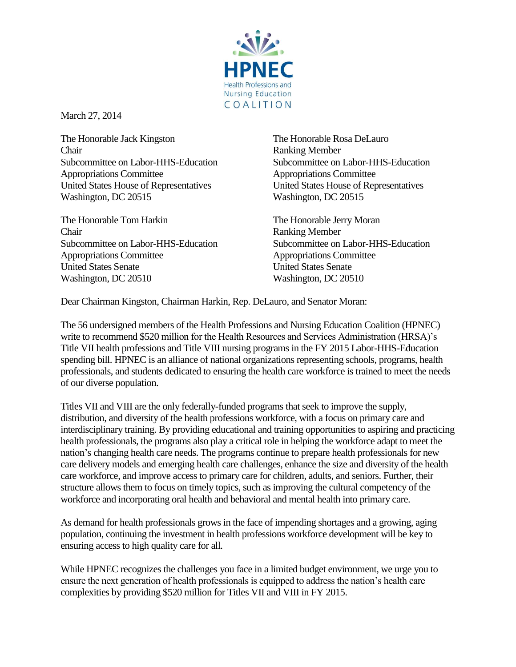

March 27, 2014

The Honorable Jack Kingston The Honorable Rosa DeLauro **Chair** Ranking Member Subcommittee on Labor-HHS-Education Subcommittee on Labor-HHS-Education Appropriations Committee Appropriations Committee United States House of Representatives United States House of Representatives Washington, DC 20515 Washington, DC 20515

The Honorable Tom Harkin The Honorable Jerry Moran Chair Ranking Member Subcommittee on Labor-HHS-Education Subcommittee on Labor-HHS-Education Appropriations Committee Appropriations Committee United States Senate United States Senate Washington, DC 20510 Washington, DC 20510

Dear Chairman Kingston, Chairman Harkin, Rep. DeLauro, and Senator Moran:

The 56 undersigned members of the Health Professions and Nursing Education Coalition (HPNEC) write to recommend \$520 million for the Health Resources and Services Administration (HRSA)'s Title VII health professions and Title VIII nursing programs in the FY 2015 Labor-HHS-Education spending bill. HPNEC is an alliance of national organizations representing schools, programs, health professionals, and students dedicated to ensuring the health care workforce is trained to meet the needs of our diverse population.

Titles VII and VIII are the only federally-funded programs that seek to improve the supply, distribution, and diversity of the health professions workforce, with a focus on primary care and interdisciplinary training. By providing educational and training opportunities to aspiring and practicing health professionals, the programs also play a critical role in helping the workforce adapt to meet the nation's changing health care needs. The programs continue to prepare health professionals for new care delivery models and emerging health care challenges, enhance the size and diversity of the health care workforce, and improve access to primary care for children, adults, and seniors. Further, their structure allows them to focus on timely topics, such as improving the cultural competency of the workforce and incorporating oral health and behavioral and mental health into primary care.

As demand for health professionals grows in the face of impending shortages and a growing, aging population, continuing the investment in health professions workforce development will be key to ensuring access to high quality care for all.

While HPNEC recognizes the challenges you face in a limited budget environment, we urge you to ensure the next generation of health professionals is equipped to address the nation's health care complexities by providing \$520 million for Titles VII and VIII in FY 2015.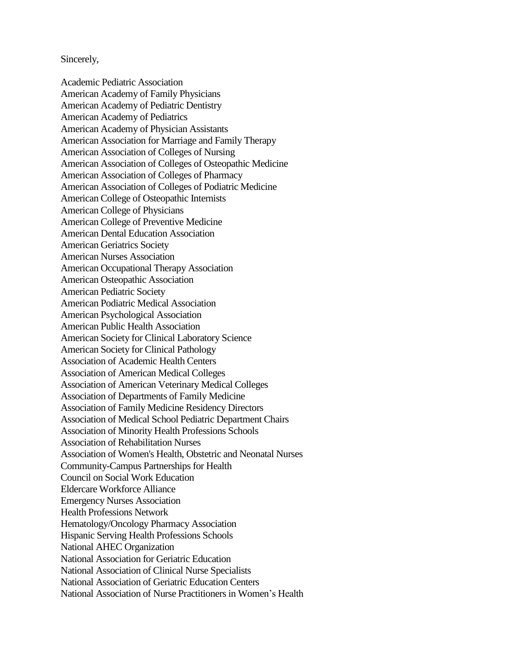Sincerely,

Academic Pediatric Association American Academy of Family Physicians American Academy of Pediatric Dentistry American Academy of Pediatrics American Academy of Physician Assistants American Association for Marriage and Family Therapy American Association of Colleges of Nursing American Association of Colleges of Osteopathic Medicine American Association of Colleges of Pharmacy American Association of Colleges of Podiatric Medicine American College of Osteopathic Internists American College of Physicians American College of Preventive Medicine American Dental Education Association American Geriatrics Society American Nurses Association American Occupational Therapy Association American Osteopathic Association American Pediatric Society American Podiatric Medical Association American Psychological Association American Public Health Association American Society for Clinical Laboratory Science American Society for Clinical Pathology Association of Academic Health Centers Association of American Medical Colleges Association of American Veterinary Medical Colleges Association of Departments of Family Medicine Association of Family Medicine Residency Directors Association of Medical School Pediatric Department Chairs Association of Minority Health Professions Schools Association of Rehabilitation Nurses Association of Women's Health, Obstetric and Neonatal Nurses Community-Campus Partnerships for Health Council on Social Work Education Eldercare Workforce Alliance Emergency Nurses Association Health Professions Network Hematology/Oncology Pharmacy Association Hispanic Serving Health Professions Schools National AHEC Organization National Association for Geriatric Education National Association of Clinical Nurse Specialists National Association of Geriatric Education Centers National Association of Nurse Practitioners in Women's Health